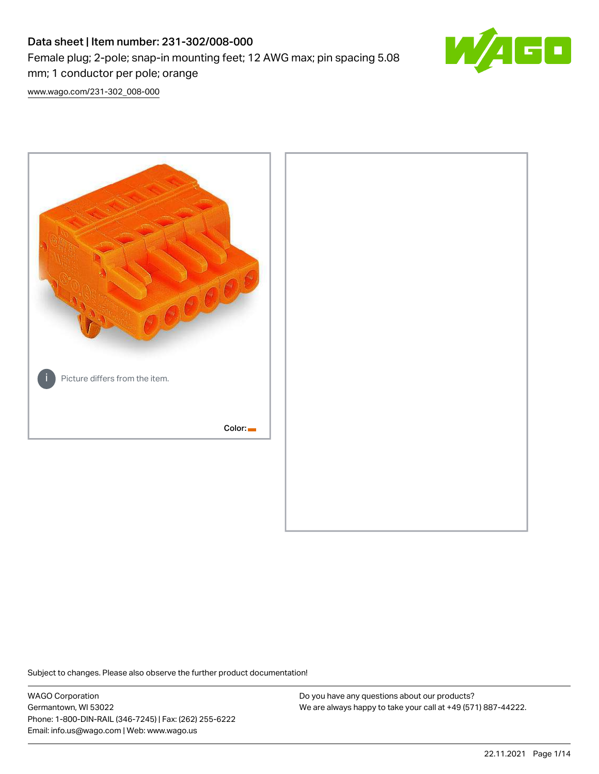# Data sheet | Item number: 231-302/008-000 Female plug; 2-pole; snap-in mounting feet; 12 AWG max; pin spacing 5.08 mm; 1 conductor per pole; orange



[www.wago.com/231-302\\_008-000](http://www.wago.com/231-302_008-000)



Subject to changes. Please also observe the further product documentation!

WAGO Corporation Germantown, WI 53022 Phone: 1-800-DIN-RAIL (346-7245) | Fax: (262) 255-6222 Email: info.us@wago.com | Web: www.wago.us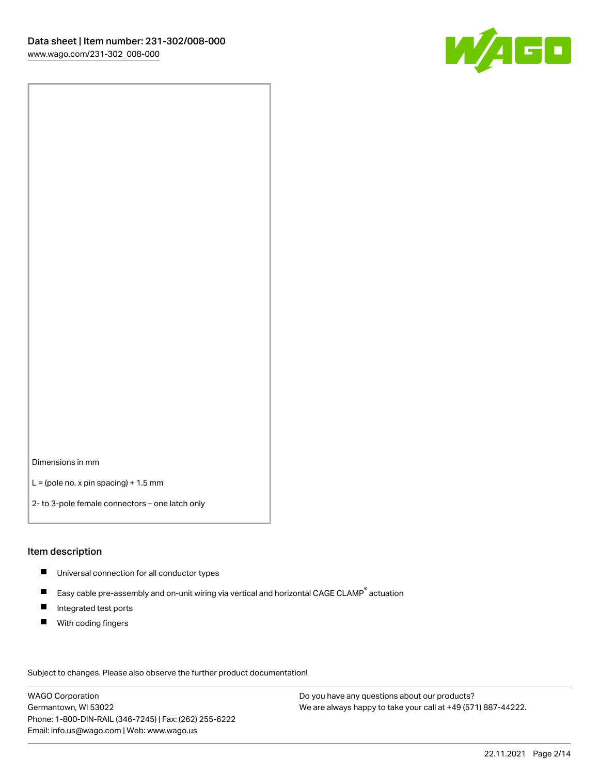

Dimensions in mm

 $L =$  (pole no. x pin spacing) + 1.5 mm

2- to 3-pole female connectors – one latch only

#### Item description

- **Universal connection for all conductor types**
- Easy cable pre-assembly and on-unit wiring via vertical and horizontal CAGE CLAMP<sup>®</sup> actuation  $\blacksquare$
- $\blacksquare$ Integrated test ports
- $\blacksquare$ With coding fingers

Subject to changes. Please also observe the further product documentation! Data

WAGO Corporation Germantown, WI 53022 Phone: 1-800-DIN-RAIL (346-7245) | Fax: (262) 255-6222 Email: info.us@wago.com | Web: www.wago.us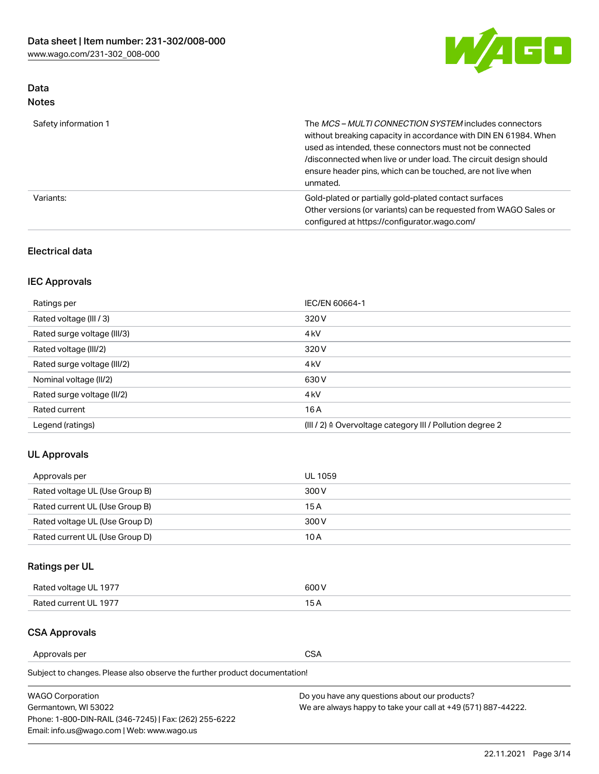

# Data Notes

| Safety information 1 | The MCS-MULTI CONNECTION SYSTEM includes connectors<br>without breaking capacity in accordance with DIN EN 61984. When<br>used as intended, these connectors must not be connected<br>/disconnected when live or under load. The circuit design should<br>ensure header pins, which can be touched, are not live when<br>unmated. |
|----------------------|-----------------------------------------------------------------------------------------------------------------------------------------------------------------------------------------------------------------------------------------------------------------------------------------------------------------------------------|
| Variants:            | Gold-plated or partially gold-plated contact surfaces<br>Other versions (or variants) can be requested from WAGO Sales or<br>configured at https://configurator.wago.com/                                                                                                                                                         |

## Electrical data

# IEC Approvals

| Ratings per                 | IEC/EN 60664-1                                                        |
|-----------------------------|-----------------------------------------------------------------------|
| Rated voltage (III / 3)     | 320 V                                                                 |
| Rated surge voltage (III/3) | 4 <sub>k</sub> V                                                      |
| Rated voltage (III/2)       | 320 V                                                                 |
| Rated surge voltage (III/2) | 4 <sub>k</sub> V                                                      |
| Nominal voltage (II/2)      | 630 V                                                                 |
| Rated surge voltage (II/2)  | 4 <sub>k</sub> V                                                      |
| Rated current               | 16 A                                                                  |
| Legend (ratings)            | $(III / 2)$ $\triangle$ Overvoltage category III / Pollution degree 2 |

# UL Approvals

| Approvals per                  | UL 1059 |
|--------------------------------|---------|
| Rated voltage UL (Use Group B) | 300 V   |
| Rated current UL (Use Group B) | 15 A    |
| Rated voltage UL (Use Group D) | 300 V   |
| Rated current UL (Use Group D) | 10 A    |

# Ratings per UL

| Rated voltage UL 1977 | 300 V |
|-----------------------|-------|
| Rated current UL 1977 |       |

### CSA Approvals

Approvals per CSA

Subject to changes. Please also observe the further product documentation!

| <b>WAGO Corporation</b>                                | Do you have any questions about our products?                 |
|--------------------------------------------------------|---------------------------------------------------------------|
| Germantown, WI 53022                                   | We are always happy to take your call at +49 (571) 887-44222. |
| Phone: 1-800-DIN-RAIL (346-7245)   Fax: (262) 255-6222 |                                                               |
| Email: info.us@wago.com   Web: www.wago.us             |                                                               |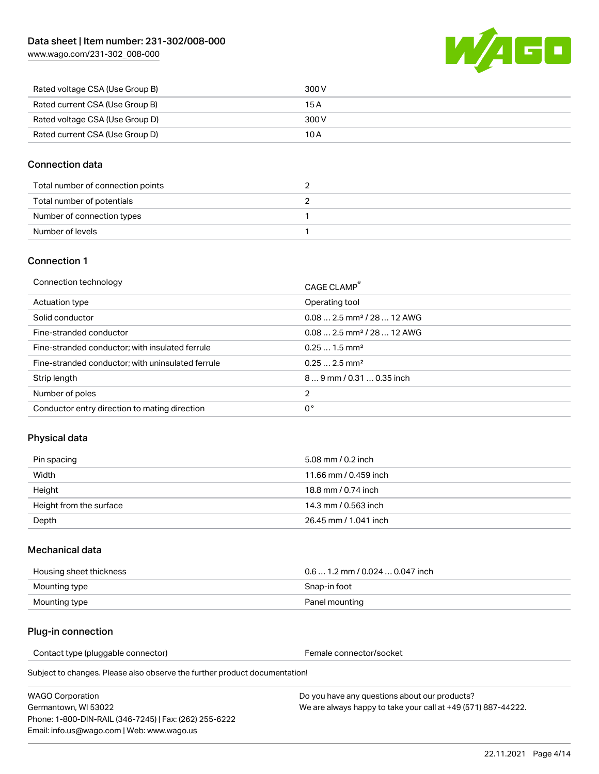[www.wago.com/231-302\\_008-000](http://www.wago.com/231-302_008-000)



| Rated voltage CSA (Use Group B) | 300 V |
|---------------------------------|-------|
| Rated current CSA (Use Group B) | 15 A  |
| Rated voltage CSA (Use Group D) | 300 V |
| Rated current CSA (Use Group D) | 10 A  |

## Connection data

| Total number of connection points |  |
|-----------------------------------|--|
| Total number of potentials        |  |
| Number of connection types        |  |
| Number of levels                  |  |

### Connection 1

| Connection technology                             | CAGE CLAMP <sup>®</sup>                 |
|---------------------------------------------------|-----------------------------------------|
| Actuation type                                    | Operating tool                          |
| Solid conductor                                   | $0.082.5$ mm <sup>2</sup> / 28  12 AWG  |
| Fine-stranded conductor                           | $0.08$ 2.5 mm <sup>2</sup> / 28  12 AWG |
| Fine-stranded conductor; with insulated ferrule   | $0.251.5$ mm <sup>2</sup>               |
| Fine-stranded conductor; with uninsulated ferrule | $0.252.5$ mm <sup>2</sup>               |
| Strip length                                      | $89$ mm $/$ 0.31  0.35 inch             |
| Number of poles                                   | 2                                       |
| Conductor entry direction to mating direction     | 0°                                      |

# Physical data

| Pin spacing             | 5.08 mm / 0.2 inch    |
|-------------------------|-----------------------|
| Width                   | 11.66 mm / 0.459 inch |
| Height                  | 18.8 mm / 0.74 inch   |
| Height from the surface | 14.3 mm / 0.563 inch  |
| Depth                   | 26.45 mm / 1.041 inch |

### Mechanical data

| Housing sheet thickness | $0.61.2$ mm $/0.0240.047$ inch |
|-------------------------|--------------------------------|
| Mounting type           | Snap-in foot                   |
| Mounting type           | Panel mounting                 |

# Plug-in connection

Contact type (pluggable connector) example a set of the Female connector/socket

Subject to changes. Please also observe the further product documentation!

| WAGO Corporation                                       |  |
|--------------------------------------------------------|--|
| Germantown. WI 53022                                   |  |
| Phone: 1-800-DIN-RAIL (346-7245)   Fax: (262) 255-6222 |  |
| Email: info.us@wago.com   Web: www.wago.us             |  |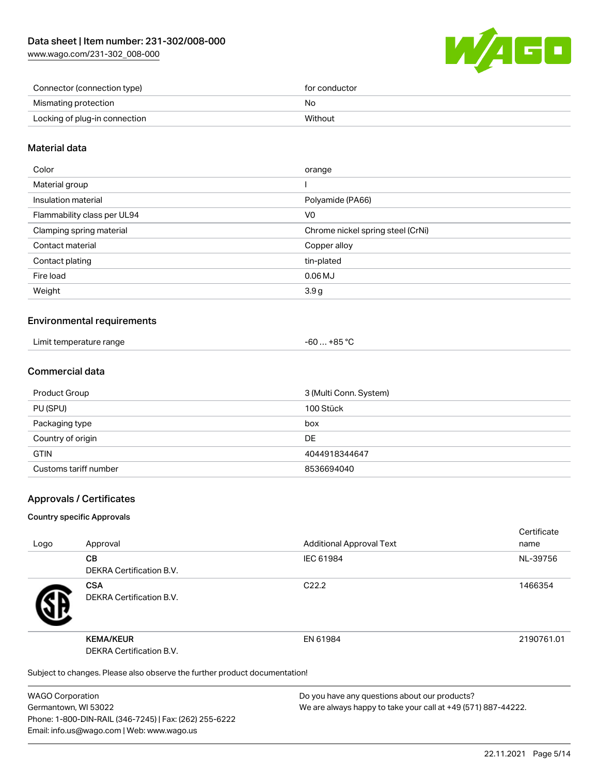[www.wago.com/231-302\\_008-000](http://www.wago.com/231-302_008-000)



| Connector (connection type)   | for conductor |
|-------------------------------|---------------|
| Mismating protection          | No            |
| Locking of plug-in connection | Without       |

## Material data

| Color                       | orange                            |
|-----------------------------|-----------------------------------|
| Material group              |                                   |
| Insulation material         | Polyamide (PA66)                  |
| Flammability class per UL94 | V0                                |
| Clamping spring material    | Chrome nickel spring steel (CrNi) |
| Contact material            | Copper alloy                      |
| Contact plating             | tin-plated                        |
| Fire load                   | $0.06$ MJ                         |
| Weight                      | 3.9 <sub>g</sub>                  |
|                             |                                   |

### Environmental requirements

| Limit temperature range<br>. | $-60+85 °C$ |  |
|------------------------------|-------------|--|
|------------------------------|-------------|--|

### Commercial data

| Product Group         | 3 (Multi Conn. System) |
|-----------------------|------------------------|
| PU (SPU)              | 100 Stück              |
| Packaging type        | box                    |
| Country of origin     | <b>DE</b>              |
| <b>GTIN</b>           | 4044918344647          |
| Customs tariff number | 8536694040             |

### Approvals / Certificates

#### Country specific Approvals

| Logo | Approval                                                                   | <b>Additional Approval Text</b> | Certificate<br>name |
|------|----------------------------------------------------------------------------|---------------------------------|---------------------|
|      | <b>CB</b><br>DEKRA Certification B.V.                                      | IEC 61984                       | NL-39756            |
|      | <b>CSA</b><br><b>DEKRA Certification B.V.</b>                              | C <sub>22.2</sub>               | 1466354             |
|      | <b>KEMA/KEUR</b><br>DEKRA Certification B.V.                               | EN 61984                        | 2190761.01          |
|      | Subject to changes. Please also observe the further product documentation! |                                 |                     |

WAGO Corporation Germantown, WI 53022 Phone: 1-800-DIN-RAIL (346-7245) | Fax: (262) 255-6222 Email: info.us@wago.com | Web: www.wago.us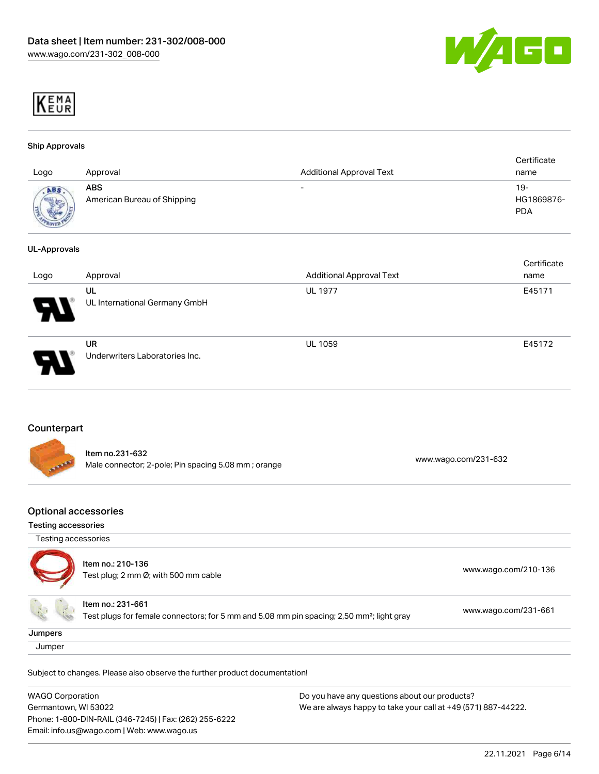



#### Ship Approvals

| Logo                 | Approval                                  | <b>Additional Approval Text</b> | Certificate<br>name               |
|----------------------|-------------------------------------------|---------------------------------|-----------------------------------|
| ABS<br><b>Marris</b> | <b>ABS</b><br>American Bureau of Shipping | $\overline{\phantom{0}}$        | $19-$<br>HG1869876-<br><b>PDA</b> |

#### UL-Approvals

| Logo | Approval                             | <b>Additional Approval Text</b> | Certificate<br>name |
|------|--------------------------------------|---------------------------------|---------------------|
| Ъ.   | UL<br>UL International Germany GmbH  | <b>UL 1977</b>                  | E45171              |
|      | UR<br>Underwriters Laboratories Inc. | <b>UL 1059</b>                  | E45172              |

## Counterpart

| <b>CALLADORE</b> | ltem no.231-632<br>Male connector; 2-pole; Pin spacing 5.08 mm; orange | www.wago.com/231-632 |
|------------------|------------------------------------------------------------------------|----------------------|
|                  |                                                                        |                      |

### Optional accessories

#### Testing accessories

|         | Item no.: 210-136<br>Test plug; 2 mm Ø; with 500 mm cable                                                                  | www.wago.com/210-136 |
|---------|----------------------------------------------------------------------------------------------------------------------------|----------------------|
|         | Item no.: 231-661<br>Test plugs for female connectors; for 5 mm and 5.08 mm pin spacing; 2,50 mm <sup>2</sup> ; light gray | www.wago.com/231-661 |
| Jumpers |                                                                                                                            |                      |

#### **Jumper**

Subject to changes. Please also observe the further product documentation!

| <b>WAGO Corporation</b>                                | Do you have any questions about our products?                 |
|--------------------------------------------------------|---------------------------------------------------------------|
| Germantown, WI 53022                                   | We are always happy to take your call at +49 (571) 887-44222. |
| Phone: 1-800-DIN-RAIL (346-7245)   Fax: (262) 255-6222 |                                                               |
| Email: info.us@wago.com   Web: www.wago.us             |                                                               |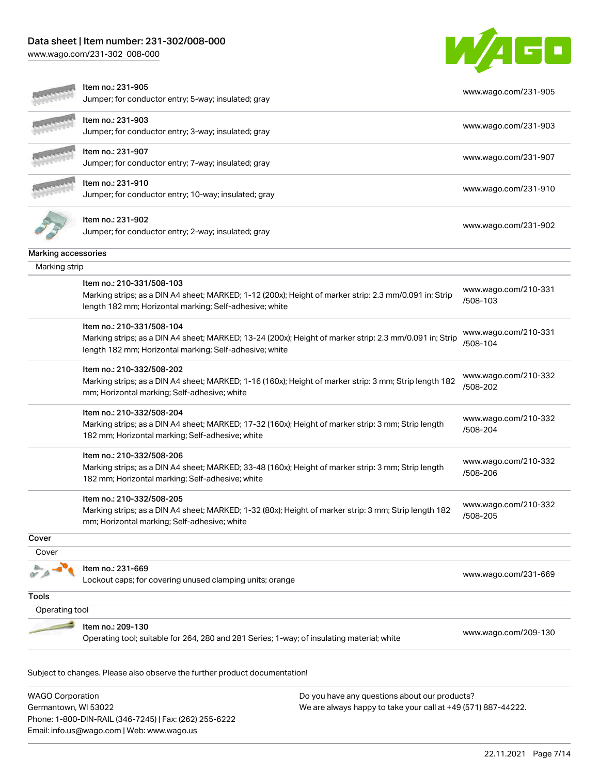Phone: 1-800-DIN-RAIL (346-7245) | Fax: (262) 255-6222

Email: info.us@wago.com | Web: www.wago.us

[www.wago.com/231-302\\_008-000](http://www.wago.com/231-302_008-000)



|                                                 | Item no.: 231-905<br>Jumper; for conductor entry; 5-way; insulated; gray                                                                                                                        |                                                                                                                | www.wago.com/231-905             |
|-------------------------------------------------|-------------------------------------------------------------------------------------------------------------------------------------------------------------------------------------------------|----------------------------------------------------------------------------------------------------------------|----------------------------------|
|                                                 | Item no.: 231-903<br>Jumper; for conductor entry; 3-way; insulated; gray                                                                                                                        |                                                                                                                | www.wago.com/231-903             |
|                                                 | Item no.: 231-907<br>Jumper; for conductor entry; 7-way; insulated; gray                                                                                                                        |                                                                                                                | www.wago.com/231-907             |
|                                                 | Item no.: 231-910<br>Jumper; for conductor entry; 10-way; insulated; gray                                                                                                                       |                                                                                                                | www.wago.com/231-910             |
|                                                 | Item no.: 231-902<br>Jumper; for conductor entry; 2-way; insulated; gray                                                                                                                        |                                                                                                                | www.wago.com/231-902             |
| Marking accessories                             |                                                                                                                                                                                                 |                                                                                                                |                                  |
| Marking strip                                   |                                                                                                                                                                                                 |                                                                                                                |                                  |
|                                                 | Item no.: 210-331/508-103<br>Marking strips; as a DIN A4 sheet; MARKED; 1-12 (200x); Height of marker strip: 2.3 mm/0.091 in; Strip<br>length 182 mm; Horizontal marking; Self-adhesive; white  |                                                                                                                | www.wago.com/210-331<br>/508-103 |
|                                                 | Item no.: 210-331/508-104<br>Marking strips; as a DIN A4 sheet; MARKED; 13-24 (200x); Height of marker strip: 2.3 mm/0.091 in; Strip<br>length 182 mm; Horizontal marking; Self-adhesive; white |                                                                                                                | www.wago.com/210-331<br>/508-104 |
|                                                 | Item no.: 210-332/508-202<br>Marking strips; as a DIN A4 sheet; MARKED; 1-16 (160x); Height of marker strip: 3 mm; Strip length 182<br>mm; Horizontal marking; Self-adhesive; white             |                                                                                                                | www.wago.com/210-332<br>/508-202 |
|                                                 | Item no.: 210-332/508-204<br>Marking strips; as a DIN A4 sheet; MARKED; 17-32 (160x); Height of marker strip: 3 mm; Strip length<br>182 mm; Horizontal marking; Self-adhesive; white            |                                                                                                                | www.wago.com/210-332<br>/508-204 |
|                                                 | Item no.: 210-332/508-206<br>Marking strips; as a DIN A4 sheet; MARKED; 33-48 (160x); Height of marker strip: 3 mm; Strip length<br>182 mm; Horizontal marking; Self-adhesive; white            |                                                                                                                | www.wago.com/210-332<br>/508-206 |
|                                                 | Item no.: 210-332/508-205<br>Marking strips; as a DIN A4 sheet; MARKED; 1-32 (80x); Height of marker strip: 3 mm; Strip length 182<br>mm; Horizontal marking; Self-adhesive; white              |                                                                                                                | www.wago.com/210-332<br>/508-205 |
| Cover                                           |                                                                                                                                                                                                 |                                                                                                                |                                  |
| Cover                                           |                                                                                                                                                                                                 |                                                                                                                |                                  |
|                                                 | Item no.: 231-669<br>Lockout caps; for covering unused clamping units; orange                                                                                                                   |                                                                                                                | www.wago.com/231-669             |
| Tools                                           |                                                                                                                                                                                                 |                                                                                                                |                                  |
| Operating tool                                  |                                                                                                                                                                                                 |                                                                                                                |                                  |
|                                                 | Item no.: 209-130<br>Operating tool; suitable for 264, 280 and 281 Series; 1-way; of insulating material; white                                                                                 |                                                                                                                | www.wago.com/209-130             |
|                                                 | Subject to changes. Please also observe the further product documentation!                                                                                                                      |                                                                                                                |                                  |
| <b>WAGO Corporation</b><br>Germantown, WI 53022 |                                                                                                                                                                                                 | Do you have any questions about our products?<br>We are always happy to take your call at +49 (571) 887-44222. |                                  |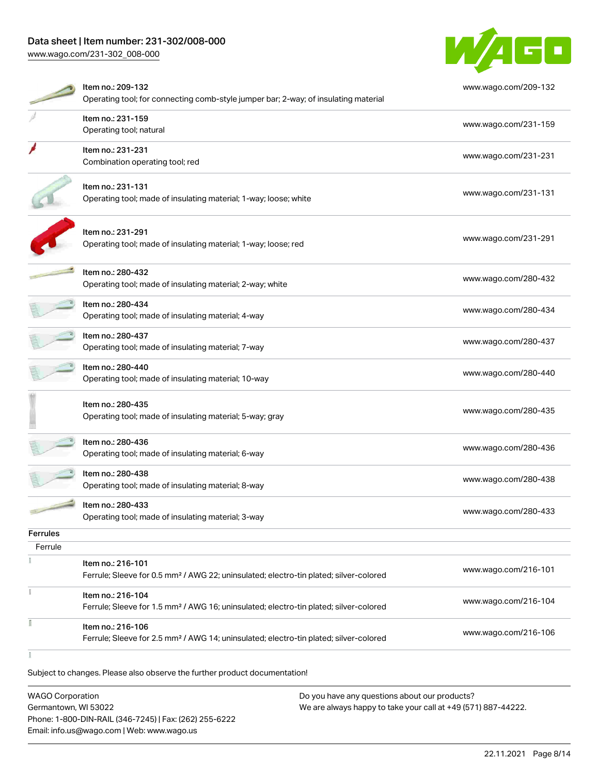[www.wago.com/231-302\\_008-000](http://www.wago.com/231-302_008-000)



|                 | Item no.: 209-132<br>Operating tool; for connecting comb-style jumper bar; 2-way; of insulating material               | www.wago.com/209-132 |
|-----------------|------------------------------------------------------------------------------------------------------------------------|----------------------|
|                 | Item no.: 231-159<br>Operating tool; natural                                                                           | www.wago.com/231-159 |
|                 | Item no.: 231-231<br>Combination operating tool; red                                                                   | www.wago.com/231-231 |
|                 | Item no.: 231-131<br>Operating tool; made of insulating material; 1-way; loose; white                                  | www.wago.com/231-131 |
|                 | Item no.: 231-291<br>Operating tool; made of insulating material; 1-way; loose; red                                    | www.wago.com/231-291 |
|                 | Item no.: 280-432<br>Operating tool; made of insulating material; 2-way; white                                         | www.wago.com/280-432 |
|                 | Item no.: 280-434<br>Operating tool; made of insulating material; 4-way                                                | www.wago.com/280-434 |
|                 | Item no.: 280-437<br>Operating tool; made of insulating material; 7-way                                                | www.wago.com/280-437 |
|                 | Item no.: 280-440<br>Operating tool; made of insulating material; 10-way                                               | www.wago.com/280-440 |
|                 | Item no.: 280-435<br>Operating tool; made of insulating material; 5-way; gray                                          | www.wago.com/280-435 |
|                 | Item no.: 280-436<br>Operating tool; made of insulating material; 6-way                                                | www.wago.com/280-436 |
|                 | Item no.: 280-438<br>Operating tool; made of insulating material; 8-way                                                | www.wago.com/280-438 |
|                 | Item no.: 280-433<br>Operating tool; made of insulating material; 3-way                                                | www.wago.com/280-433 |
| <b>Ferrules</b> |                                                                                                                        |                      |
| Ferrule         |                                                                                                                        |                      |
|                 | Item no.: 216-101<br>Ferrule; Sleeve for 0.5 mm <sup>2</sup> / AWG 22; uninsulated; electro-tin plated; silver-colored | www.wago.com/216-101 |
|                 | Item no.: 216-104<br>Ferrule; Sleeve for 1.5 mm <sup>2</sup> / AWG 16; uninsulated; electro-tin plated; silver-colored | www.wago.com/216-104 |
|                 | Item no.: 216-106<br>Ferrule; Sleeve for 2.5 mm <sup>2</sup> / AWG 14; uninsulated; electro-tin plated; silver-colored | www.wago.com/216-106 |
|                 |                                                                                                                        |                      |

Subject to changes. Please also observe the further product documentation!

| <b>WAGO Corporation</b>                                | Do you have any questions about our products?                 |
|--------------------------------------------------------|---------------------------------------------------------------|
| Germantown, WI 53022                                   | We are always happy to take your call at +49 (571) 887-44222. |
| Phone: 1-800-DIN-RAIL (346-7245)   Fax: (262) 255-6222 |                                                               |
| Email: info.us@wago.com   Web: www.wago.us             |                                                               |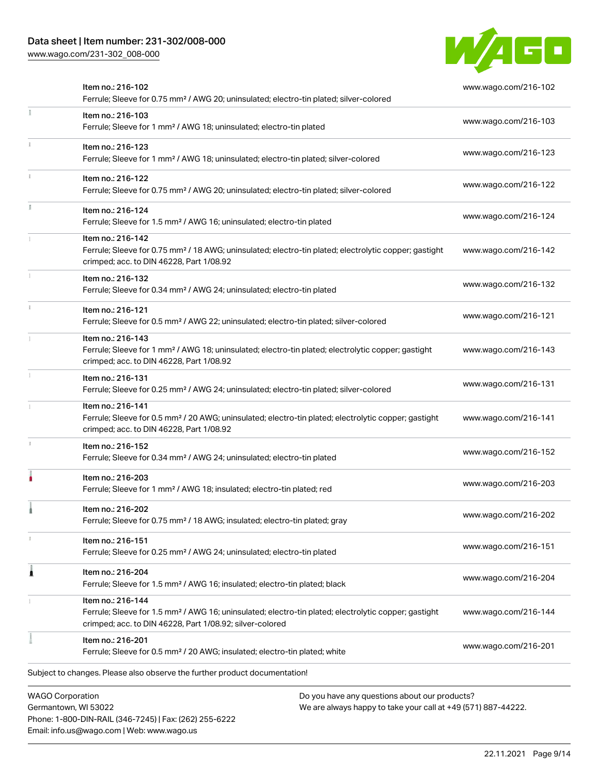Phone: 1-800-DIN-RAIL (346-7245) | Fax: (262) 255-6222

Email: info.us@wago.com | Web: www.wago.us

[www.wago.com/231-302\\_008-000](http://www.wago.com/231-302_008-000)



|                         | Item no.: 216-102<br>Ferrule; Sleeve for 0.75 mm <sup>2</sup> / AWG 20; uninsulated; electro-tin plated; silver-colored                                                                           |                                                                                                                | www.wago.com/216-102 |
|-------------------------|---------------------------------------------------------------------------------------------------------------------------------------------------------------------------------------------------|----------------------------------------------------------------------------------------------------------------|----------------------|
|                         | Item no.: 216-103<br>Ferrule; Sleeve for 1 mm <sup>2</sup> / AWG 18; uninsulated; electro-tin plated                                                                                              |                                                                                                                | www.wago.com/216-103 |
|                         | Item no.: 216-123<br>Ferrule; Sleeve for 1 mm <sup>2</sup> / AWG 18; uninsulated; electro-tin plated; silver-colored                                                                              |                                                                                                                | www.wago.com/216-123 |
|                         | Item no.: 216-122<br>Ferrule; Sleeve for 0.75 mm <sup>2</sup> / AWG 20; uninsulated; electro-tin plated; silver-colored                                                                           |                                                                                                                | www.wago.com/216-122 |
|                         | Item no.: 216-124<br>Ferrule; Sleeve for 1.5 mm <sup>2</sup> / AWG 16; uninsulated; electro-tin plated                                                                                            |                                                                                                                | www.wago.com/216-124 |
|                         | Item no.: 216-142<br>Ferrule; Sleeve for 0.75 mm <sup>2</sup> / 18 AWG; uninsulated; electro-tin plated; electrolytic copper; gastight<br>crimped; acc. to DIN 46228, Part 1/08.92                |                                                                                                                | www.wago.com/216-142 |
|                         | Item no.: 216-132<br>Ferrule; Sleeve for 0.34 mm <sup>2</sup> / AWG 24; uninsulated; electro-tin plated                                                                                           |                                                                                                                | www.wago.com/216-132 |
|                         | Item no.: 216-121<br>Ferrule; Sleeve for 0.5 mm <sup>2</sup> / AWG 22; uninsulated; electro-tin plated; silver-colored                                                                            |                                                                                                                | www.wago.com/216-121 |
|                         | Item no.: 216-143<br>Ferrule; Sleeve for 1 mm <sup>2</sup> / AWG 18; uninsulated; electro-tin plated; electrolytic copper; gastight<br>crimped; acc. to DIN 46228, Part 1/08.92                   |                                                                                                                | www.wago.com/216-143 |
|                         | Item no.: 216-131<br>Ferrule; Sleeve for 0.25 mm <sup>2</sup> / AWG 24; uninsulated; electro-tin plated; silver-colored                                                                           |                                                                                                                | www.wago.com/216-131 |
|                         | Item no.: 216-141<br>Ferrule; Sleeve for 0.5 mm <sup>2</sup> / 20 AWG; uninsulated; electro-tin plated; electrolytic copper; gastight<br>crimped; acc. to DIN 46228, Part 1/08.92                 |                                                                                                                | www.wago.com/216-141 |
|                         | Item no.: 216-152<br>Ferrule; Sleeve for 0.34 mm <sup>2</sup> / AWG 24; uninsulated; electro-tin plated                                                                                           |                                                                                                                | www.wago.com/216-152 |
|                         | Item no.: 216-203<br>Ferrule; Sleeve for 1 mm <sup>2</sup> / AWG 18; insulated; electro-tin plated; red                                                                                           |                                                                                                                | www.wago.com/216-203 |
|                         | Item no.: 216-202<br>Ferrule; Sleeve for 0.75 mm <sup>2</sup> / 18 AWG; insulated; electro-tin plated; gray                                                                                       |                                                                                                                | www.wago.com/216-202 |
|                         | Item no.: 216-151<br>Ferrule; Sleeve for 0.25 mm <sup>2</sup> / AWG 24; uninsulated; electro-tin plated                                                                                           |                                                                                                                | www.wago.com/216-151 |
|                         | Item no.: 216-204<br>Ferrule; Sleeve for 1.5 mm <sup>2</sup> / AWG 16; insulated; electro-tin plated; black                                                                                       |                                                                                                                | www.wago.com/216-204 |
|                         | Item no.: 216-144<br>Ferrule; Sleeve for 1.5 mm <sup>2</sup> / AWG 16; uninsulated; electro-tin plated; electrolytic copper; gastight<br>crimped; acc. to DIN 46228, Part 1/08.92; silver-colored |                                                                                                                | www.wago.com/216-144 |
|                         | Item no.: 216-201<br>Ferrule; Sleeve for 0.5 mm <sup>2</sup> / 20 AWG; insulated; electro-tin plated; white                                                                                       |                                                                                                                | www.wago.com/216-201 |
|                         | Subject to changes. Please also observe the further product documentation!                                                                                                                        |                                                                                                                |                      |
| <b>WAGO Corporation</b> | Germantown, WI 53022                                                                                                                                                                              | Do you have any questions about our products?<br>We are always happy to take your call at +49 (571) 887-44222. |                      |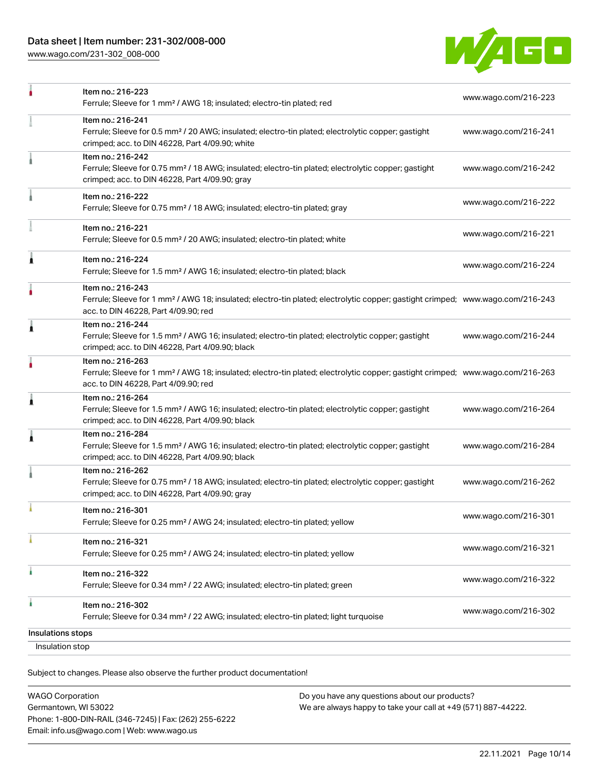[www.wago.com/231-302\\_008-000](http://www.wago.com/231-302_008-000)



|                                      | Item no.: 216-223<br>Ferrule; Sleeve for 1 mm <sup>2</sup> / AWG 18; insulated; electro-tin plated; red                                                                                                 | www.wago.com/216-223 |
|--------------------------------------|---------------------------------------------------------------------------------------------------------------------------------------------------------------------------------------------------------|----------------------|
|                                      | Item no.: 216-241<br>Ferrule; Sleeve for 0.5 mm <sup>2</sup> / 20 AWG; insulated; electro-tin plated; electrolytic copper; gastight<br>crimped; acc. to DIN 46228, Part 4/09.90; white                  | www.wago.com/216-241 |
|                                      | Item no.: 216-242<br>Ferrule; Sleeve for 0.75 mm <sup>2</sup> / 18 AWG; insulated; electro-tin plated; electrolytic copper; gastight<br>crimped; acc. to DIN 46228, Part 4/09.90; gray                  | www.wago.com/216-242 |
|                                      | Item no.: 216-222<br>Ferrule; Sleeve for 0.75 mm <sup>2</sup> / 18 AWG; insulated; electro-tin plated; gray                                                                                             | www.wago.com/216-222 |
|                                      | Item no.: 216-221<br>Ferrule; Sleeve for 0.5 mm <sup>2</sup> / 20 AWG; insulated; electro-tin plated; white                                                                                             | www.wago.com/216-221 |
| Â                                    | Item no.: 216-224<br>Ferrule; Sleeve for 1.5 mm <sup>2</sup> / AWG 16; insulated; electro-tin plated; black                                                                                             | www.wago.com/216-224 |
|                                      | Item no.: 216-243<br>Ferrule; Sleeve for 1 mm <sup>2</sup> / AWG 18; insulated; electro-tin plated; electrolytic copper; gastight crimped; www.wago.com/216-243<br>acc. to DIN 46228, Part 4/09.90; red |                      |
| 1                                    | Item no.: 216-244<br>Ferrule; Sleeve for 1.5 mm <sup>2</sup> / AWG 16; insulated; electro-tin plated; electrolytic copper; gastight<br>crimped; acc. to DIN 46228, Part 4/09.90; black                  | www.wago.com/216-244 |
|                                      | Item no.: 216-263<br>Ferrule; Sleeve for 1 mm <sup>2</sup> / AWG 18; insulated; electro-tin plated; electrolytic copper; gastight crimped; www.wago.com/216-263<br>acc. to DIN 46228, Part 4/09.90; red |                      |
| 1                                    | Item no.: 216-264<br>Ferrule; Sleeve for 1.5 mm <sup>2</sup> / AWG 16; insulated; electro-tin plated; electrolytic copper; gastight<br>crimped; acc. to DIN 46228, Part 4/09.90; black                  | www.wago.com/216-264 |
| 1                                    | Item no.: 216-284<br>Ferrule; Sleeve for 1.5 mm <sup>2</sup> / AWG 16; insulated; electro-tin plated; electrolytic copper; gastight<br>crimped; acc. to DIN 46228, Part 4/09.90; black                  | www.wago.com/216-284 |
|                                      | Item no.: 216-262<br>Ferrule; Sleeve for 0.75 mm <sup>2</sup> / 18 AWG; insulated; electro-tin plated; electrolytic copper; gastight<br>crimped; acc. to DIN 46228, Part 4/09.90; gray                  | www.wago.com/216-262 |
|                                      | Item no.: 216-301<br>Ferrule; Sleeve for 0.25 mm <sup>2</sup> / AWG 24; insulated; electro-tin plated; yellow                                                                                           | www.wago.com/216-301 |
|                                      | Item no.: 216-321<br>Ferrule; Sleeve for 0.25 mm <sup>2</sup> / AWG 24; insulated; electro-tin plated; yellow                                                                                           | www.wago.com/216-321 |
|                                      | Item no.: 216-322<br>Ferrule; Sleeve for 0.34 mm <sup>2</sup> / 22 AWG; insulated; electro-tin plated; green                                                                                            | www.wago.com/216-322 |
|                                      | Item no.: 216-302<br>Ferrule; Sleeve for 0.34 mm <sup>2</sup> / 22 AWG; insulated; electro-tin plated; light turquoise                                                                                  | www.wago.com/216-302 |
| Insulations stops<br>Insulation stop |                                                                                                                                                                                                         |                      |
|                                      |                                                                                                                                                                                                         |                      |

Subject to changes. Please also observe the further product documentation!

| <b>WAGO Corporation</b>                                |  |
|--------------------------------------------------------|--|
| Germantown, WI 53022                                   |  |
| Phone: 1-800-DIN-RAIL (346-7245)   Fax: (262) 255-6222 |  |
| Email: info.us@wago.com   Web: www.wago.us             |  |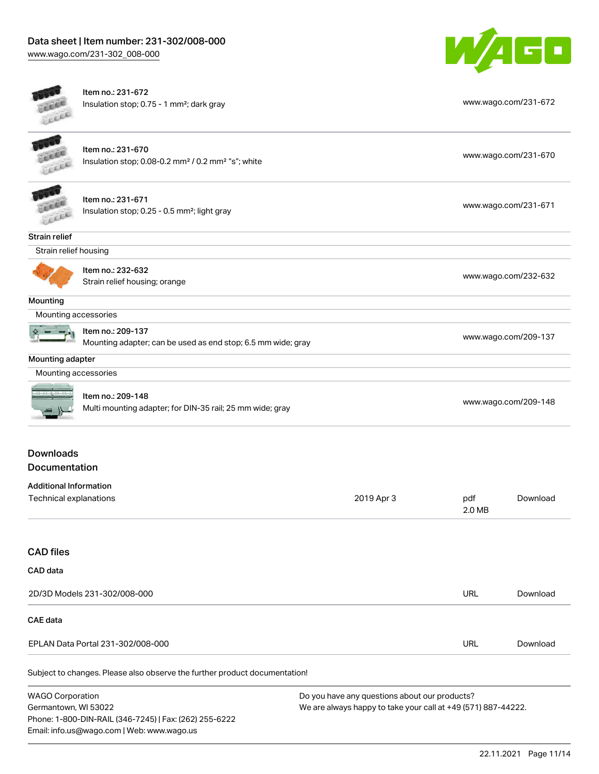



Item no.: 231-672 Insulation stop; 0.75 - 1 mm²; dark gray [www.wago.com/231-672](http://www.wago.com/231-672)

Item no.: 231-670 Insulation stop; 0.08-0.2 mm² / 0.2 mm² "s"; white [www.wago.com/231-670](http://www.wago.com/231-670) www.wago.com/231-670



Item no.: 231-671 Insulation stop; 0.25 - 0.5 mm²; light gray [www.wago.com/231-671](http://www.wago.com/231-671) www.wago.com/231-671

Strain relief



Item no.: 232-632

ntem methods. 2020.<br>Strain relief housing; orange [www.wago.com/232-632](http://www.wago.com/232-632)

Mounting

Mounting accessories

Item no.: 209-137

Mounting adapter; can be used as end stop; 6.5 mm wide; gray [www.wago.com/209-137](http://www.wago.com/209-137) www.wago.com/209-137

### Mounting adapter

Mounting accessories



| Item no.: 209-148                                         |                      |
|-----------------------------------------------------------|----------------------|
| Multi mounting adapter; for DIN-35 rail; 25 mm wide; gray | www.wago.com/209-148 |

# Downloads Documentation

| Additional Information |            |        |          |
|------------------------|------------|--------|----------|
| Technical explanations | 2019 Apr 3 | pdf    | Download |
|                        |            | 2.0 MB |          |

# CAD files

| CAD data                          |            |          |
|-----------------------------------|------------|----------|
| 2D/3D Models 231-302/008-000      | URL        | Download |
| CAE data                          |            |          |
| EPLAN Data Portal 231-302/008-000 | <b>URL</b> | Download |

Subject to changes. Please also observe the further product documentation!

WAGO Corporation Germantown, WI 53022 Phone: 1-800-DIN-RAIL (346-7245) | Fax: (262) 255-6222 Email: info.us@wago.com | Web: www.wago.us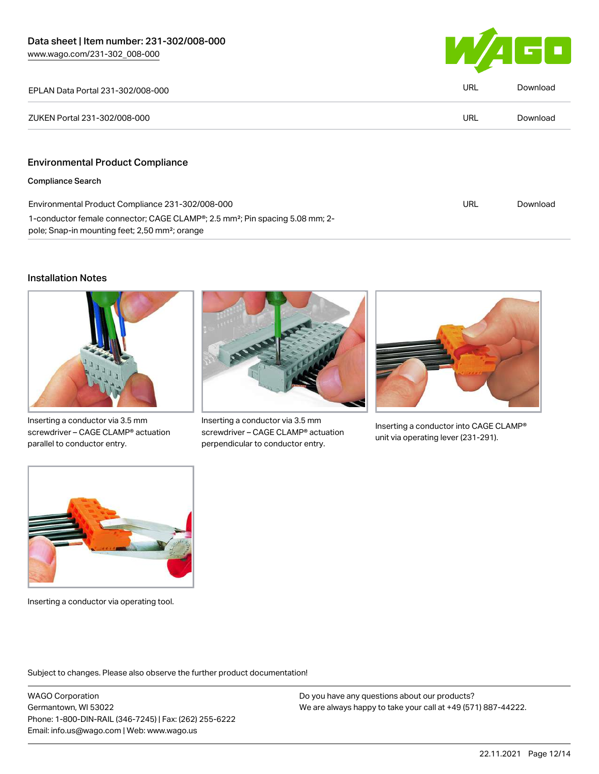

| EPLAN Data Portal 231-302/008-000                                                                                                                                   | URL | Download |
|---------------------------------------------------------------------------------------------------------------------------------------------------------------------|-----|----------|
| ZUKEN Portal 231-302/008-000                                                                                                                                        | URL | Download |
|                                                                                                                                                                     |     |          |
| <b>Environmental Product Compliance</b>                                                                                                                             |     |          |
| <b>Compliance Search</b>                                                                                                                                            |     |          |
| Environmental Product Compliance 231-302/008-000                                                                                                                    | URL | Download |
| 1-conductor female connector; CAGE CLAMP <sup>®</sup> ; 2.5 mm <sup>2</sup> ; Pin spacing 5.08 mm; 2-<br>pole; Snap-in mounting feet; 2,50 mm <sup>2</sup> ; orange |     |          |

### Installation Notes



Inserting a conductor via 3.5 mm screwdriver – CAGE CLAMP® actuation parallel to conductor entry.



Inserting a conductor via 3.5 mm screwdriver – CAGE CLAMP® actuation perpendicular to conductor entry.



Inserting a conductor into CAGE CLAMP® unit via operating lever (231-291).



Inserting a conductor via operating tool.

Subject to changes. Please also observe the further product documentation!

WAGO Corporation Germantown, WI 53022 Phone: 1-800-DIN-RAIL (346-7245) | Fax: (262) 255-6222 Email: info.us@wago.com | Web: www.wago.us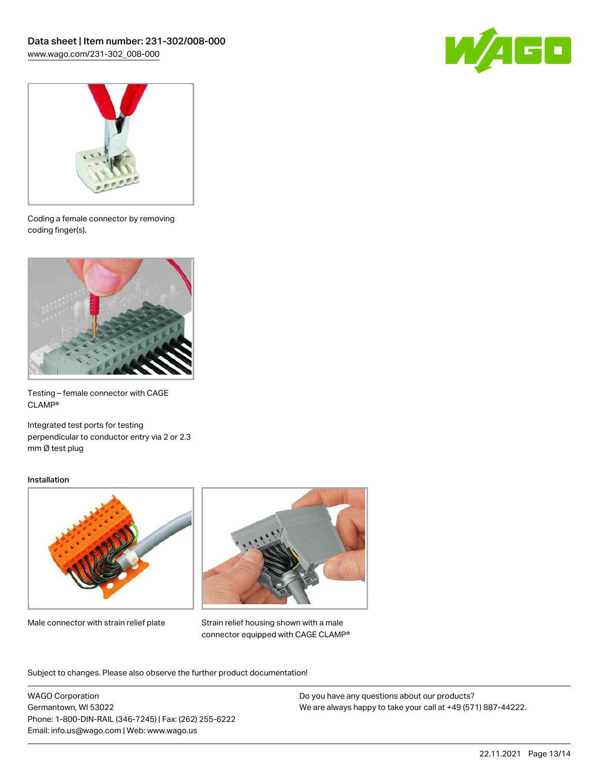



Coding a female connector by removing coding finger(s).



Testing – female connector with CAGE CLAMP®

Integrated test ports for testing perpendicular to conductor entry via 2 or 2.3 mm Ø test plug

### Installation



Male connector with strain relief plate



Strain relief housing shown with a male connector equipped with CAGE CLAMP®

Subject to changes. Please also observe the further product documentation!

WAGO Corporation Germantown, WI 53022 Phone: 1-800-DIN-RAIL (346-7245) | Fax: (262) 255-6222 Email: info.us@wago.com | Web: www.wago.us